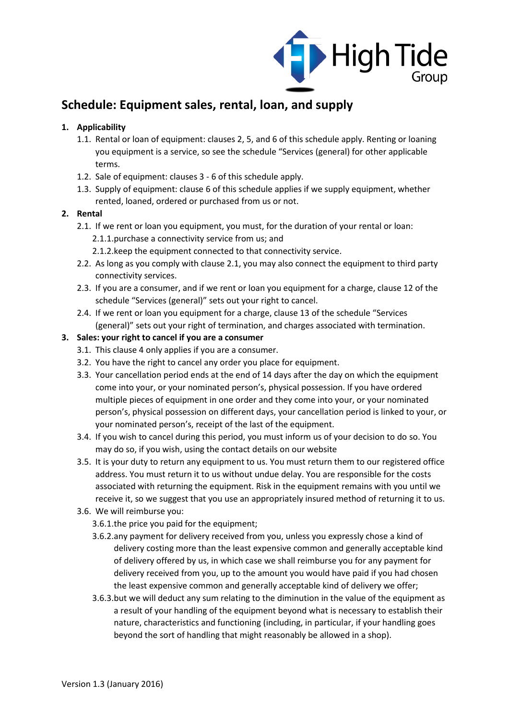

# **Schedule: Equipment sales, rental, loan, and supply**

## **1. Applicability**

- 1.1. Rental or loan of equipment: clauses 2, 5, and 6 of this schedule apply. Renting or loaning you equipment is a service, so see the schedule "Services (general) for other applicable terms.
- 1.2. Sale of equipment: clauses 3 6 of this schedule apply.
- 1.3. Supply of equipment: clause 6 of this schedule applies if we supply equipment, whether rented, loaned, ordered or purchased from us or not.

## **2. Rental**

- 2.1. If we rent or loan you equipment, you must, for the duration of your rental or loan: 2.1.1.purchase a connectivity service from us; and
	- 2.1.2.keep the equipment connected to that connectivity service.
- 2.2. As long as you comply with clause 2.1, you may also connect the equipment to third party connectivity services.
- 2.3. If you are a consumer, and if we rent or loan you equipment for a charge, clause 12 of the schedule "Services (general)" sets out your right to cancel.
- 2.4. If we rent or loan you equipment for a charge, clause 13 of the schedule "Services (general)" sets out your right of termination, and charges associated with termination.

## **3. Sales: your right to cancel if you are a consumer**

- 3.1. This clause 4 only applies if you are a consumer.
- 3.2. You have the right to cancel any order you place for equipment.
- 3.3. Your cancellation period ends at the end of 14 days after the day on which the equipment come into your, or your nominated person's, physical possession. If you have ordered multiple pieces of equipment in one order and they come into your, or your nominated person's, physical possession on different days, your cancellation period is linked to your, or your nominated person's, receipt of the last of the equipment.
- 3.4. If you wish to cancel during this period, you must inform us of your decision to do so. You may do so, if you wish, using the contact details on our website
- 3.5. It is your duty to return any equipment to us. You must return them to our registered office address. You must return it to us without undue delay. You are responsible for the costs associated with returning the equipment. Risk in the equipment remains with you until we receive it, so we suggest that you use an appropriately insured method of returning it to us.
- 3.6. We will reimburse you:
	- 3.6.1.the price you paid for the equipment;
	- 3.6.2.any payment for delivery received from you, unless you expressly chose a kind of delivery costing more than the least expensive common and generally acceptable kind of delivery offered by us, in which case we shall reimburse you for any payment for delivery received from you, up to the amount you would have paid if you had chosen the least expensive common and generally acceptable kind of delivery we offer;
	- 3.6.3.but we will deduct any sum relating to the diminution in the value of the equipment as a result of your handling of the equipment beyond what is necessary to establish their nature, characteristics and functioning (including, in particular, if your handling goes beyond the sort of handling that might reasonably be allowed in a shop).